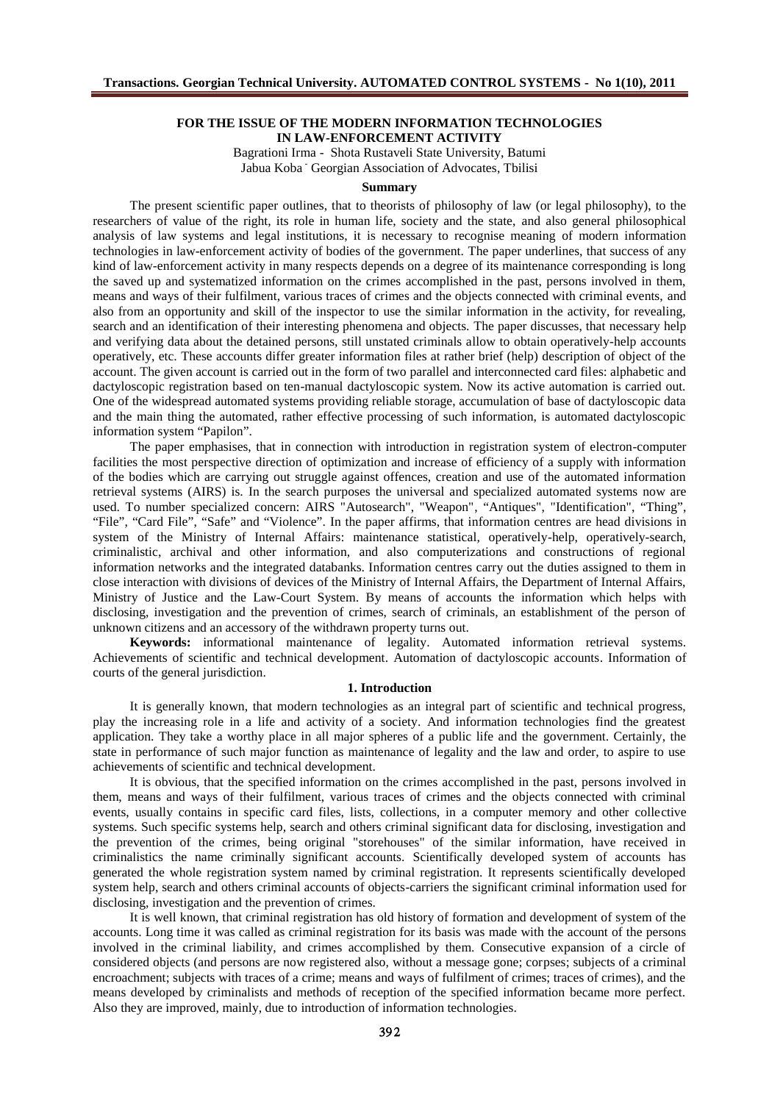# **FOR THE ISSUE OF THE MODERN INFORMATION TECHNOLOGIES IN LAW-ENFORCEMENT ACTIVITY**

Bagrationi Irma - Shota Rustaveli State University, Batumi Jabua Koba <sup>-</sup> Georgian Association of Advocates, Tbilisi

#### **Summary**

The present scientific paper outlines, that to theorists of philosophy of law (or legal philosophy), to the researchers of value of the right, its role in human life, society and the state, and also general philosophical analysis of law systems and legal institutions, it is necessary to recognise meaning of modern information technologies in law-enforcement activity of bodies of the government. The paper underlines, that success of any kind of law-enforcement activity in many respects depends on a degree of its maintenance corresponding is long the saved up and systematized information on the crimes accomplished in the past, persons involved in them, means and ways of their fulfilment, various traces of crimes and the objects connected with criminal events, and also from an opportunity and skill of the inspector to use the similar information in the activity, for revealing, search and an identification of their interesting phenomena and objects. The paper discusses, that necessary help and verifying data about the detained persons, still unstated criminals allow to obtain operatively-help accounts operatively, etc. These accounts differ greater information files at rather brief (help) description of object of the account. The given account is carried out in the form of two parallel and interconnected card files: alphabetic and dactyloscopic registration based on ten-manual dactyloscopic system. Now its active automation is carried out. One of the widespread automated systems providing reliable storage, accumulation of base of dactyloscopic data and the main thing the automated, rather effective processing of such information, is automated dactyloscopic information system "Papilon".

The paper emphasises, that in connection with introduction in registration system of electron-computer facilities the most perspective direction of optimization and increase of efficiency of a supply with information of the bodies which are carrying out struggle against offences, creation and use of the automated information retrieval systems (AIRS) is. In the search purposes the universal and specialized automated systems now are used. To number specialized concern: AIRS "Autosearch", "Weapon", "Antiques", "Identification", "Thing", "File", "Card File", "Safe" and "Violence". In the paper affirms, that information centres are head divisions in system of the Ministry of Internal Affairs: maintenance statistical, operatively-help, operatively-search, criminalistic, archival and other information, and also computerizations and constructions of regional information networks and the integrated databanks. Information centres carry out the duties assigned to them in close interaction with divisions of devices of the Ministry of Internal Affairs, the Department of Internal Affairs, Ministry of Justice and the Law-Court System. By means of accounts the information which helps with disclosing, investigation and the prevention of crimes, search of criminals, an establishment of the person of unknown citizens and an accessory of the withdrawn property turns out.

**Keywords:** informational maintenance of legality. Automated information retrieval systems. Achievements of scientific and technical development. Automation of dactyloscopic accounts. Information of courts of the general jurisdiction.

### **1. Introduction**

It is generally known, that modern technologies as an integral part of scientific and technical progress, play the increasing role in a life and activity of a society. And information technologies find the greatest application. They take a worthy place in all major spheres of a public life and the government. Certainly, the state in performance of such major function as maintenance of legality and the law and order, to aspire to use achievements of scientific and technical development.

It is obvious, that the specified information on the crimes accomplished in the past, persons involved in them, means and ways of their fulfilment, various traces of crimes and the objects connected with criminal events, usually contains in specific card files, lists, collections, in a computer memory and other collective systems. Such specific systems help, search and others criminal significant data for disclosing, investigation and the prevention of the crimes, being original "storehouses" of the similar information, have received in criminalistics the name criminally significant accounts. Scientifically developed system of accounts has generated the whole registration system named by criminal registration. It represents scientifically developed system help, search and others criminal accounts of objects-carriers the significant criminal information used for disclosing, investigation and the prevention of crimes.

It is well known, that criminal registration has old history of formation and development of system of the accounts. Long time it was called as criminal registration for its basis was made with the account of the persons involved in the criminal liability, and crimes accomplished by them. Consecutive expansion of a circle of considered objects (and persons are now registered also, without a message gone; corpses; subjects of a criminal encroachment; subjects with traces of a crime; means and ways of fulfilment of crimes; traces of crimes), and the means developed by criminalists and methods of reception of the specified information became more perfect. Also they are improved, mainly, due to introduction of information technologies.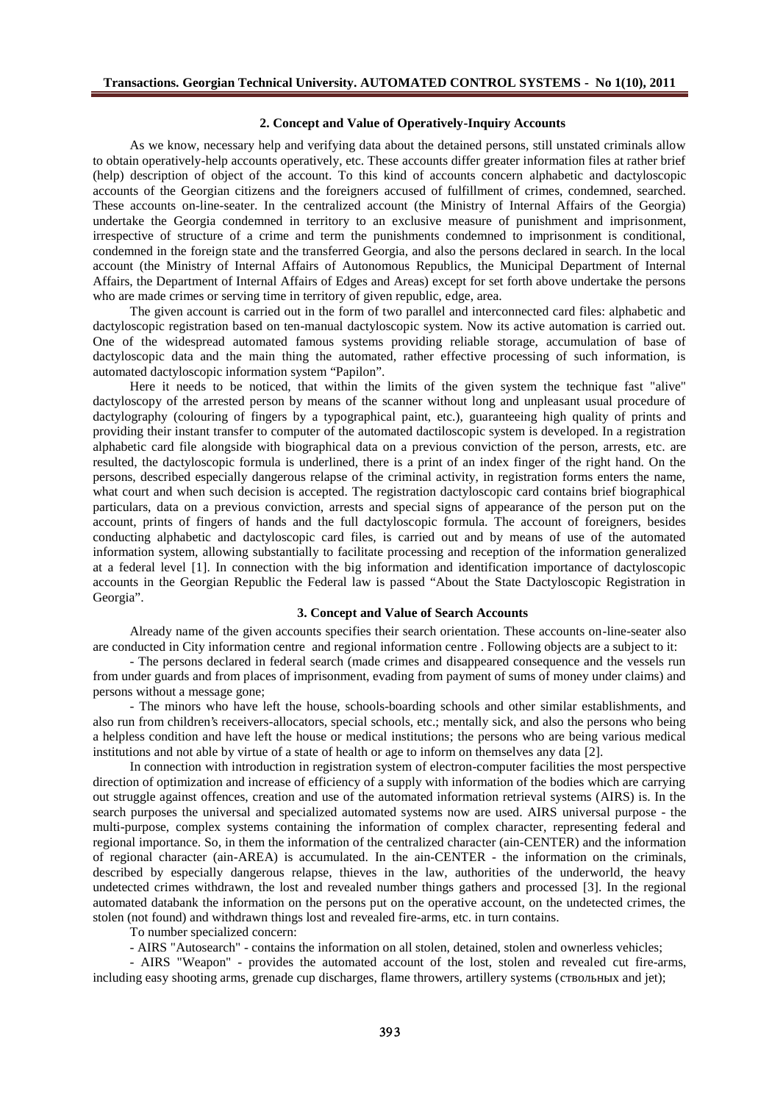## **2. Concept and Value of Operatively-Inquiry Accounts**

As we know, necessary help and verifying data about the detained persons, still unstated criminals allow to obtain operatively-help accounts operatively, etc. These accounts differ greater information files at rather brief (help) description of object of the account. To this kind of accounts concern alphabetic and dactyloscopic accounts of the Georgian citizens and the foreigners accused of fulfillment of crimes, condemned, searched. These accounts on-line-seater. In the centralized account (the Ministry of Internal Affairs of the Georgia) undertake the Georgia condemned in territory to an exclusive measure of punishment and imprisonment, irrespective of structure of a crime and term the punishments condemned to imprisonment is conditional, condemned in the foreign state and the transferred Georgia, and also the persons declared in search. In the local account (the Ministry of Internal Affairs of Autonomous Republics, the Municipal Department of Internal Affairs, the Department of Internal Affairs of Edges and Areas) except for set forth above undertake the persons who are made crimes or serving time in territory of given republic, edge, area.

The given account is carried out in the form of two parallel and interconnected card files: alphabetic and dactyloscopic registration based on ten-manual dactyloscopic system. Now its active automation is carried out. One of the widespread automated famous systems providing reliable storage, accumulation of base of dactyloscopic data and the main thing the automated, rather effective processing of such information, is automated dactyloscopic information system "Papilon".

Here it needs to be noticed, that within the limits of the given system the technique fast "alive" dactyloscopy of the arrested person by means of the scanner without long and unpleasant usual procedure of dactylography (colouring of fingers by a typographical paint, etc.), guaranteeing high quality of prints and providing their instant transfer to computer of the automated dactiloscopic system is developed. In a registration alphabetic card file alongside with biographical data on a previous conviction of the person, arrests, etc. are resulted, the dactyloscopic formula is underlined, there is a print of an index finger of the right hand. On the persons, described especially dangerous relapse of the criminal activity, in registration forms enters the name, what court and when such decision is accepted. The registration dactyloscopic card contains brief biographical particulars, data on a previous conviction, arrests and special signs of appearance of the person put on the account, prints of fingers of hands and the full dactyloscopic formula. The account of foreigners, besides conducting alphabetic and dactyloscopic card files, is carried out and by means of use of the automated information system, allowing substantially to facilitate processing and reception of the information generalized at a federal level [1]. In connection with the big information and identification importance of dactyloscopic accounts in the Georgian Republic the Federal law is passed "About the State Dactyloscopic Registration in Georgia".

#### **3. Concept and Value of Search Accounts**

Already name of the given accounts specifies their search orientation. These accounts on-line-seater also are conducted in City information centre and regional information centre . Following objects are a subject to it:

- The persons declared in federal search (made crimes and disappeared consequence and the vessels run from under guards and from places of imprisonment, evading from payment of sums of money under claims) and persons without a message gone;

- The minors who have left the house, schools-boarding schools and other similar establishments, and also run from children's receivers-allocators, special schools, etc.; mentally sick, and also the persons who being a helpless condition and have left the house or medical institutions; the persons who are being various medical institutions and not able by virtue of a state of health or age to inform on themselves any data [2].

In connection with introduction in registration system of electron-computer facilities the most perspective direction of optimization and increase of efficiency of a supply with information of the bodies which are carrying out struggle against offences, creation and use of the automated information retrieval systems (AIRS) is. In the search purposes the universal and specialized automated systems now are used. AIRS universal purpose - the multi-purpose, complex systems containing the information of complex character, representing federal and regional importance. So, in them the information of the centralized character (ain-CENTER) and the information of regional character (ain-AREA) is accumulated. In the ain-CENTER - the information on the criminals, described by especially dangerous relapse, thieves in the law, authorities of the underworld, the heavy undetected crimes withdrawn, the lost and revealed number things gathers and processed [3]. In the regional automated databank the information on the persons put on the operative account, on the undetected crimes, the stolen (not found) and withdrawn things lost and revealed fire-arms, etc. in turn contains.

To number specialized concern:

- AIRS "Autosearch" - contains the information on all stolen, detained, stolen and ownerless vehicles;

- AIRS "Weapon" - provides the automated account of the lost, stolen and revealed cut fire-arms, including easy shooting arms, grenade cup discharges, flame throwers, artillery systems (and jet);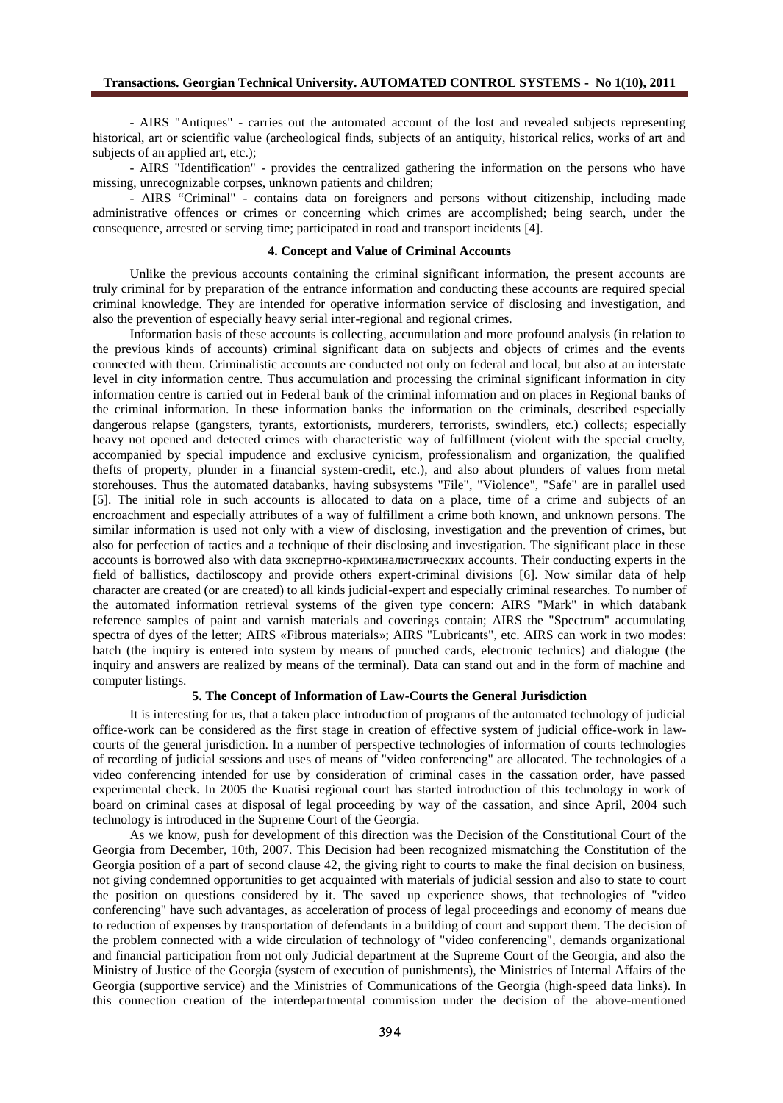- AIRS "Antiques" - carries out the automated account of the lost and revealed subjects representing historical, art or scientific value (archeological finds, subjects of an antiquity, historical relics, works of art and subjects of an applied art, etc.);

- AIRS "Identification" - provides the centralized gathering the information on the persons who have missing, unrecognizable corpses, unknown patients and children;

- AIRS "Criminal" - contains data on foreigners and persons without citizenship, including made administrative offences or crimes or concerning which crimes are accomplished; being search, under the consequence, arrested or serving time; participated in road and transport incidents [4].

#### **4. Concept and Value of Criminal Accounts**

Unlike the previous accounts containing the criminal significant information, the present accounts are truly criminal for by preparation of the entrance information and conducting these accounts are required special criminal knowledge. They are intended for operative information service of disclosing and investigation, and also the prevention of especially heavy serial inter-regional and regional crimes.

Information basis of these accounts is collecting, accumulation and more profound analysis (in relation to the previous kinds of accounts) criminal significant data on subjects and objects of crimes and the events connected with them. Criminalistic accounts are conducted not only on federal and local, but also at an interstate level in city information centre. Thus accumulation and processing the criminal significant information in city information centre is carried out in Federal bank of the criminal information and on places in Regional banks of the criminal information. In these information banks the information on the criminals, described especially dangerous relapse (gangsters, tyrants, extortionists, murderers, terrorists, swindlers, etc.) collects; especially heavy not opened and detected crimes with characteristic way of fulfillment (violent with the special cruelty, accompanied by special impudence and exclusive cynicism, professionalism and organization, the qualified thefts of property, plunder in a financial system-credit, etc.), and also about plunders of values from metal storehouses. Thus the automated databanks, having subsystems "File", "Violence", "Safe" are in parallel used [5]. The initial role in such accounts is allocated to data on a place, time of a crime and subjects of an encroachment and especially attributes of a way of fulfillment a crime both known, and unknown persons. The similar information is used not only with a view of disclosing, investigation and the prevention of crimes, but also for perfection of tactics and a technique of their disclosing and investigation. The significant place in these accounts is borrowed also with data  $\overline{\phantom{a}}$ accounts. Their conducting experts in the field of ballistics, dactiloscopy and provide others expert-criminal divisions [6]. Now similar data of help character are created (or are created) to all kinds judicial-expert and especially criminal researches. To number of the automated information retrieval systems of the given type concern: AIRS "Mark" in which databank reference samples of paint and varnish materials and coverings contain; AIRS the "Spectrum" accumulating spectra of dyes of the letter; AIRS «Fibrous materials»; AIRS "Lubricants", etc. AIRS can work in two modes: batch (the inquiry is entered into system by means of punched cards, electronic technics) and dialogue (the inquiry and answers are realized by means of the terminal). Data can stand out and in the form of machine and computer listings.

### **5. The Concept of Information of Law-Courts the General Jurisdiction**

It is interesting for us, that a taken place introduction of programs of the automated technology of judicial office-work can be considered as the first stage in creation of effective system of judicial office-work in lawcourts of the general jurisdiction. In a number of perspective technologies of information of courts technologies of recording of judicial sessions and uses of means of "video conferencing" are allocated. The technologies of a video conferencing intended for use by consideration of criminal cases in the cassation order, have passed experimental check. In 2005 the Kuatisi regional court has started introduction of this technology in work of board on criminal cases at disposal of legal proceeding by way of the cassation, and since April, 2004 such technology is introduced in the Supreme Court of the Georgia.

As we know, push for development of this direction was the Decision of the Constitutional Court of the Georgia from December, 10th, 2007. This Decision had been recognized mismatching the Constitution of the Georgia position of a part of second clause 42, the giving right to courts to make the final decision on business, not giving condemned opportunities to get acquainted with materials of judicial session and also to state to court the position on questions considered by it. The saved up experience shows, that technologies of "video conferencing" have such advantages, as acceleration of process of legal proceedings and economy of means due to reduction of expenses by transportation of defendants in a building of court and support them. The decision of the problem connected with a wide circulation of technology of "video conferencing", demands organizational and financial participation from not only Judicial department at the Supreme Court of the Georgia, and also the Ministry of Justice of the Georgia (system of execution of punishments), the Ministries of Internal Affairs of the Georgia (supportive service) and the Ministries of Communications of the Georgia (high-speed data links). In this connection creation of the interdepartmental commission under the decision of the above-mentioned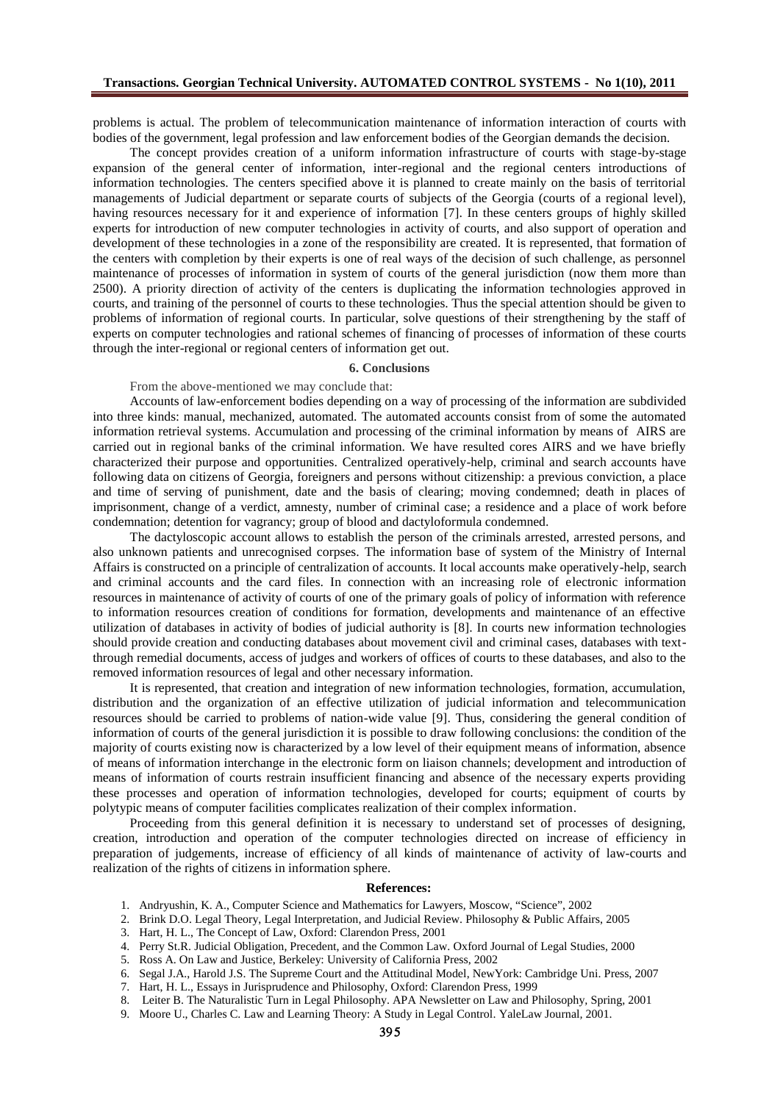problems is actual. The problem of telecommunication maintenance of information interaction of courts with bodies of the government, legal profession and law enforcement bodies of the Georgian demands the decision.

The concept provides creation of a uniform information infrastructure of courts with stage-by-stage expansion of the general center of information, inter-regional and the regional centers introductions of information technologies. The centers specified above it is planned to create mainly on the basis of territorial managements of Judicial department or separate courts of subjects of the Georgia (courts of a regional level), having resources necessary for it and experience of information [7]. In these centers groups of highly skilled experts for introduction of new computer technologies in activity of courts, and also support of operation and development of these technologies in a zone of the responsibility are created. It is represented, that formation of the centers with completion by their experts is one of real ways of the decision of such challenge, as personnel maintenance of processes of information in system of courts of the general jurisdiction (now them more than 2500). A priority direction of activity of the centers is duplicating the information technologies approved in courts, and training of the personnel of courts to these technologies. Thus the special attention should be given to problems of information of regional courts. In particular, solve questions of their strengthening by the staff of experts on computer technologies and rational schemes of financing of processes of information of these courts through the inter-regional or regional centers of information get out.

### **6. Conclusions**

From the above-mentioned we may conclude that:

Accounts of law-enforcement bodies depending on a way of processing of the information are subdivided into three kinds: manual, mechanized, automated. The automated accounts consist from of some the automated information retrieval systems. Accumulation and processing of the criminal information by means of AIRS are carried out in regional banks of the criminal information. We have resulted cores AIRS and we have briefly characterized their purpose and opportunities. Centralized operatively-help, criminal and search accounts have following data on citizens of Georgia, foreigners and persons without citizenship: a previous conviction, a place and time of serving of punishment, date and the basis of clearing; moving condemned; death in places of imprisonment, change of a verdict, amnesty, number of criminal case; a residence and a place of work before condemnation; detention for vagrancy; group of blood and dactyloformula condemned.

The dactyloscopic account allows to establish the person of the criminals arrested, arrested persons, and also unknown patients and unrecognised corpses. The information base of system of the Ministry of Internal Affairs is constructed on a principle of centralization of accounts. It local accounts make operatively-help, search and criminal accounts and the card files. In connection with an increasing role of electronic information resources in maintenance of activity of courts of one of the primary goals of policy of information with reference to information resources creation of conditions for formation, developments and maintenance of an effective utilization of databases in activity of bodies of judicial authority is [8]. In courts new information technologies should provide creation and conducting databases about movement civil and criminal cases, databases with textthrough remedial documents, access of judges and workers of offices of courts to these databases, and also to the removed information resources of legal and other necessary information.

It is represented, that creation and integration of new information technologies, formation, accumulation, distribution and the organization of an effective utilization of judicial information and telecommunication resources should be carried to problems of nation-wide value [9]. Thus, considering the general condition of information of courts of the general jurisdiction it is possible to draw following conclusions: the condition of the majority of courts existing now is characterized by a low level of their equipment means of information, absence of means of information interchange in the electronic form on liaison channels; development and introduction of means of information of courts restrain insufficient financing and absence of the necessary experts providing these processes and operation of information technologies, developed for courts; equipment of courts by polytypic means of computer facilities complicates realization of their complex information.

Proceeding from this general definition it is necessary to understand set of processes of designing, creation, introduction and operation of the computer technologies directed on increase of efficiency in preparation of judgements, increase of efficiency of all kinds of maintenance of activity of law-courts and realization of the rights of citizens in information sphere.

### **References:**

- 1. Andryushin, K. A., Computer Science and Mathematics for Lawyers, Moscow, "Science", 2002
- 2. Brink D.O. Legal Theory, Legal Interpretation, and Judicial Review. Philosophy & Public Affairs, 2005
- 3. Hart, H. L., The Concept of Law*,* Oxford: Clarendon Press, 2001
- 4. Perry St.R. Judicial Obligation, Precedent, and the Common Law. Oxford Journal of Legal Studies*,* 2000
- 5. Ross A. On Law and Justice, Berkeley: University of California Press, 2002
- 6. Segal J.A., Harold J.S. The Supreme Court and the Attitudinal Model, NewYork: Cambridge Uni. Press, 2007
- 7. Hart, H. L., Essays in Jurisprudence and Philosophy, Oxford: Clarendon Press, 1999
- 8. Leiter B. The Naturalistic Turn in Legal Philosophy. APA Newsletter on Law and Philosophy*,* Spring, 2001
- 9. Moore U., Charles C. Law and Learning Theory: A Study in Legal Control. YaleLaw Journal*,* 2001.